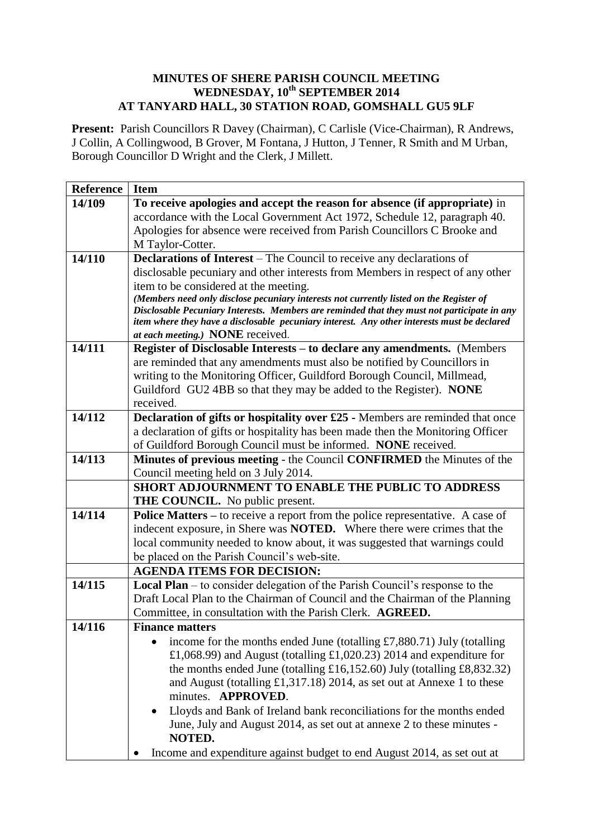## **MINUTES OF SHERE PARISH COUNCIL MEETING WEDNESDAY, 10th SEPTEMBER 2014 AT TANYARD HALL, 30 STATION ROAD, GOMSHALL GU5 9LF**

**Present:** Parish Councillors R Davey (Chairman), C Carlisle (Vice-Chairman), R Andrews, J Collin, A Collingwood, B Grover, M Fontana, J Hutton, J Tenner, R Smith and M Urban, Borough Councillor D Wright and the Clerk, J Millett.

| <b>Reference</b>    | <b>Item</b>                                                                                                                                                                            |
|---------------------|----------------------------------------------------------------------------------------------------------------------------------------------------------------------------------------|
| 14/109              | To receive apologies and accept the reason for absence (if appropriate) in                                                                                                             |
|                     | accordance with the Local Government Act 1972, Schedule 12, paragraph 40.                                                                                                              |
|                     | Apologies for absence were received from Parish Councillors C Brooke and                                                                                                               |
|                     | M Taylor-Cotter.                                                                                                                                                                       |
| 14/110              | Declarations of Interest - The Council to receive any declarations of                                                                                                                  |
|                     | disclosable pecuniary and other interests from Members in respect of any other                                                                                                         |
|                     | item to be considered at the meeting.                                                                                                                                                  |
|                     | (Members need only disclose pecuniary interests not currently listed on the Register of<br>Disclosable Pecuniary Interests. Members are reminded that they must not participate in any |
|                     | item where they have a disclosable pecuniary interest. Any other interests must be declared                                                                                            |
|                     | at each meeting.) NONE received.                                                                                                                                                       |
| 14/111              | Register of Disclosable Interests – to declare any amendments. (Members                                                                                                                |
|                     | are reminded that any amendments must also be notified by Councillors in                                                                                                               |
|                     | writing to the Monitoring Officer, Guildford Borough Council, Millmead,                                                                                                                |
|                     | Guildford GU2 4BB so that they may be added to the Register). NONE                                                                                                                     |
|                     | received.                                                                                                                                                                              |
| 14/112              | Declaration of gifts or hospitality over £25 - Members are reminded that once                                                                                                          |
|                     | a declaration of gifts or hospitality has been made then the Monitoring Officer                                                                                                        |
|                     | of Guildford Borough Council must be informed. NONE received.                                                                                                                          |
| 14/113              | Minutes of previous meeting - the Council CONFIRMED the Minutes of the                                                                                                                 |
|                     | Council meeting held on 3 July 2014.                                                                                                                                                   |
|                     | SHORT ADJOURNMENT TO ENABLE THE PUBLIC TO ADDRESS                                                                                                                                      |
| $\overline{14}/114$ | THE COUNCIL. No public present.<br>Police Matters - to receive a report from the police representative. A case of                                                                      |
|                     | indecent exposure, in Shere was <b>NOTED.</b> Where there were crimes that the                                                                                                         |
|                     | local community needed to know about, it was suggested that warnings could                                                                                                             |
|                     | be placed on the Parish Council's web-site.                                                                                                                                            |
|                     | <b>AGENDA ITEMS FOR DECISION:</b>                                                                                                                                                      |
| 14/115              | Local Plan - to consider delegation of the Parish Council's response to the                                                                                                            |
|                     | Draft Local Plan to the Chairman of Council and the Chairman of the Planning                                                                                                           |
|                     | Committee, in consultation with the Parish Clerk. AGREED.                                                                                                                              |
| 14/116              | <b>Finance matters</b>                                                                                                                                                                 |
|                     | income for the months ended June (totalling $£7,880.71)$ July (totalling                                                                                                               |
|                     | £1,068.99) and August (totalling £1,020.23) 2014 and expenditure for                                                                                                                   |
|                     | the months ended June (totalling £16,152.60) July (totalling £8,832.32)                                                                                                                |
|                     | and August (totalling £1,317.18) 2014, as set out at Annexe 1 to these                                                                                                                 |
|                     | minutes. APPROVED.                                                                                                                                                                     |
|                     | Lloyds and Bank of Ireland bank reconciliations for the months ended                                                                                                                   |
|                     | June, July and August 2014, as set out at annexe 2 to these minutes -                                                                                                                  |
|                     | NOTED.                                                                                                                                                                                 |
|                     | Income and expenditure against budget to end August 2014, as set out at                                                                                                                |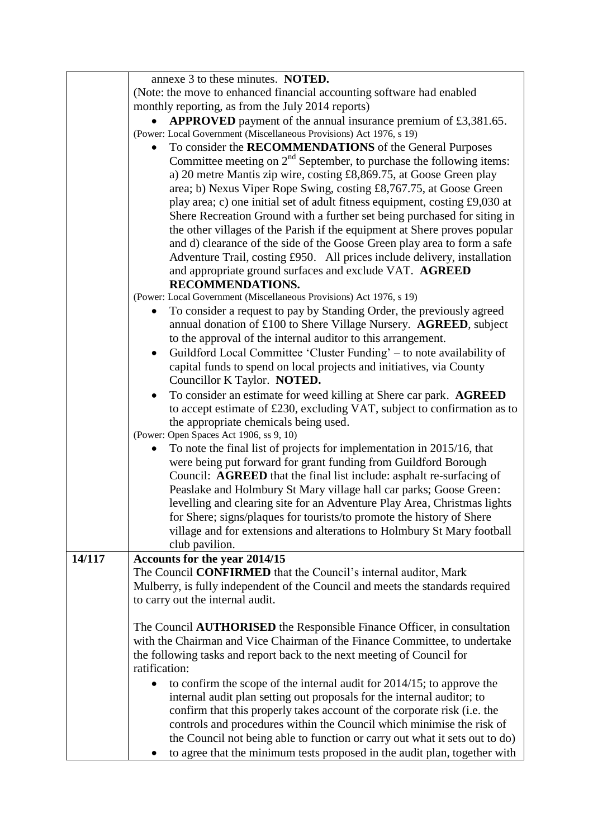|        | annexe 3 to these minutes. NOTED.                                                   |
|--------|-------------------------------------------------------------------------------------|
|        | (Note: the move to enhanced financial accounting software had enabled               |
|        | monthly reporting, as from the July 2014 reports)                                   |
|        | <b>APPROVED</b> payment of the annual insurance premium of £3,381.65.               |
|        | (Power: Local Government (Miscellaneous Provisions) Act 1976, s 19)                 |
|        | To consider the RECOMMENDATIONS of the General Purposes                             |
|        | Committee meeting on $2nd$ September, to purchase the following items:              |
|        | a) 20 metre Mantis zip wire, costing £8,869.75, at Goose Green play                 |
|        | area; b) Nexus Viper Rope Swing, costing £8,767.75, at Goose Green                  |
|        | play area; c) one initial set of adult fitness equipment, costing £9,030 at         |
|        | Shere Recreation Ground with a further set being purchased for siting in            |
|        | the other villages of the Parish if the equipment at Shere proves popular           |
|        | and d) clearance of the side of the Goose Green play area to form a safe            |
|        | Adventure Trail, costing £950. All prices include delivery, installation            |
|        | and appropriate ground surfaces and exclude VAT. AGREED                             |
|        | <b>RECOMMENDATIONS.</b>                                                             |
|        | (Power: Local Government (Miscellaneous Provisions) Act 1976, s 19)                 |
|        | To consider a request to pay by Standing Order, the previously agreed<br>$\bullet$  |
|        | annual donation of £100 to Shere Village Nursery. AGREED, subject                   |
|        | to the approval of the internal auditor to this arrangement.                        |
|        | Guildford Local Committee 'Cluster Funding' – to note availability of<br>$\bullet$  |
|        | capital funds to spend on local projects and initiatives, via County                |
|        | Councillor K Taylor. NOTED.                                                         |
|        | To consider an estimate for weed killing at Shere car park. AGREED                  |
|        | to accept estimate of £230, excluding VAT, subject to confirmation as to            |
|        | the appropriate chemicals being used.                                               |
|        | (Power: Open Spaces Act 1906, ss 9, 10)                                             |
|        | To note the final list of projects for implementation in 2015/16, that              |
|        | were being put forward for grant funding from Guildford Borough                     |
|        | Council: AGREED that the final list include: asphalt re-surfacing of                |
|        | Peaslake and Holmbury St Mary village hall car parks; Goose Green:                  |
|        | levelling and clearing site for an Adventure Play Area, Christmas lights            |
|        | for Shere; signs/plaques for tourists/to promote the history of Shere               |
|        | village and for extensions and alterations to Holmbury St Mary football             |
|        | club pavilion.                                                                      |
| 14/117 | Accounts for the year 2014/15                                                       |
|        | The Council CONFIRMED that the Council's internal auditor, Mark                     |
|        | Mulberry, is fully independent of the Council and meets the standards required      |
|        | to carry out the internal audit.                                                    |
|        |                                                                                     |
|        | The Council <b>AUTHORISED</b> the Responsible Finance Officer, in consultation      |
|        | with the Chairman and Vice Chairman of the Finance Committee, to undertake          |
|        | the following tasks and report back to the next meeting of Council for              |
|        | ratification:                                                                       |
|        | to confirm the scope of the internal audit for 2014/15; to approve the<br>$\bullet$ |
|        | internal audit plan setting out proposals for the internal auditor; to              |
|        | confirm that this properly takes account of the corporate risk (i.e. the            |
|        | controls and procedures within the Council which minimise the risk of               |
|        | the Council not being able to function or carry out what it sets out to do)         |
|        | to agree that the minimum tests proposed in the audit plan, together with           |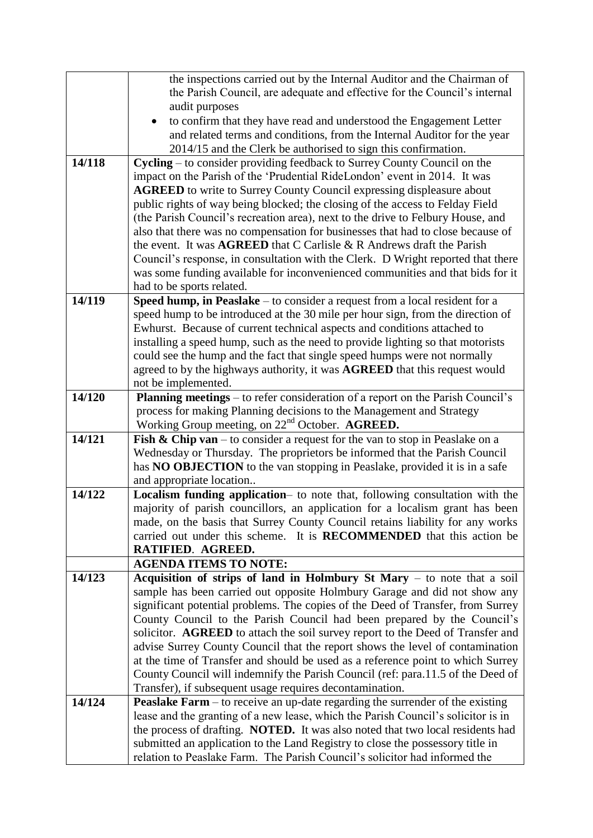| the Parish Council, are adequate and effective for the Council's internal<br>audit purposes                                                                      |  |
|------------------------------------------------------------------------------------------------------------------------------------------------------------------|--|
| to confirm that they have read and understood the Engagement Letter                                                                                              |  |
| and related terms and conditions, from the Internal Auditor for the year                                                                                         |  |
| 2014/15 and the Clerk be authorised to sign this confirmation.                                                                                                   |  |
| Cycling – to consider providing feedback to Surrey County Council on the<br>14/118                                                                               |  |
| impact on the Parish of the 'Prudential RideLondon' event in 2014. It was                                                                                        |  |
| <b>AGREED</b> to write to Surrey County Council expressing displeasure about                                                                                     |  |
| public rights of way being blocked; the closing of the access to Felday Field                                                                                    |  |
| (the Parish Council's recreation area), next to the drive to Felbury House, and                                                                                  |  |
| also that there was no compensation for businesses that had to close because of                                                                                  |  |
| the event. It was <b>AGREED</b> that C Carlisle & R Andrews draft the Parish                                                                                     |  |
| Council's response, in consultation with the Clerk. D Wright reported that there                                                                                 |  |
| was some funding available for inconvenienced communities and that bids for it                                                                                   |  |
| had to be sports related.                                                                                                                                        |  |
| Speed hump, in Peaslake – to consider a request from a local resident for a<br>14/119                                                                            |  |
| speed hump to be introduced at the 30 mile per hour sign, from the direction of                                                                                  |  |
| Ewhurst. Because of current technical aspects and conditions attached to                                                                                         |  |
| installing a speed hump, such as the need to provide lighting so that motorists                                                                                  |  |
| could see the hump and the fact that single speed humps were not normally                                                                                        |  |
| agreed to by the highways authority, it was AGREED that this request would                                                                                       |  |
| not be implemented.                                                                                                                                              |  |
| Planning meetings – to refer consideration of a report on the Parish Council's<br>14/120                                                                         |  |
| process for making Planning decisions to the Management and Strategy                                                                                             |  |
| Working Group meeting, on 22 <sup>nd</sup> October. AGREED.<br>14/121<br><b>Fish &amp; Chip van</b> – to consider a request for the van to stop in Peaslake on a |  |
| Wednesday or Thursday. The proprietors be informed that the Parish Council                                                                                       |  |
| has NO OBJECTION to the van stopping in Peaslake, provided it is in a safe                                                                                       |  |
| and appropriate location                                                                                                                                         |  |
| Localism funding application- to note that, following consultation with the<br>14/122                                                                            |  |
| majority of parish councillors, an application for a localism grant has been                                                                                     |  |
| made, on the basis that Surrey County Council retains liability for any works                                                                                    |  |
| carried out under this scheme. It is RECOMMENDED that this action be                                                                                             |  |
| RATIFIED. AGREED.                                                                                                                                                |  |
| <b>AGENDA ITEMS TO NOTE:</b>                                                                                                                                     |  |
| 14/123<br>Acquisition of strips of land in Holmbury St Mary – to note that a soil                                                                                |  |
| sample has been carried out opposite Holmbury Garage and did not show any                                                                                        |  |
| significant potential problems. The copies of the Deed of Transfer, from Surrey                                                                                  |  |
| County Council to the Parish Council had been prepared by the Council's                                                                                          |  |
| solicitor. AGREED to attach the soil survey report to the Deed of Transfer and                                                                                   |  |
| advise Surrey County Council that the report shows the level of contamination                                                                                    |  |
| at the time of Transfer and should be used as a reference point to which Surrey                                                                                  |  |
| County Council will indemnify the Parish Council (ref: para.11.5 of the Deed of<br>Transfer), if subsequent usage requires decontamination.                      |  |
| 14/124<br><b>Peaslake Farm</b> – to receive an up-date regarding the surrender of the existing                                                                   |  |
| lease and the granting of a new lease, which the Parish Council's solicitor is in                                                                                |  |
| the process of drafting. NOTED. It was also noted that two local residents had                                                                                   |  |
| submitted an application to the Land Registry to close the possessory title in                                                                                   |  |
| relation to Peaslake Farm. The Parish Council's solicitor had informed the                                                                                       |  |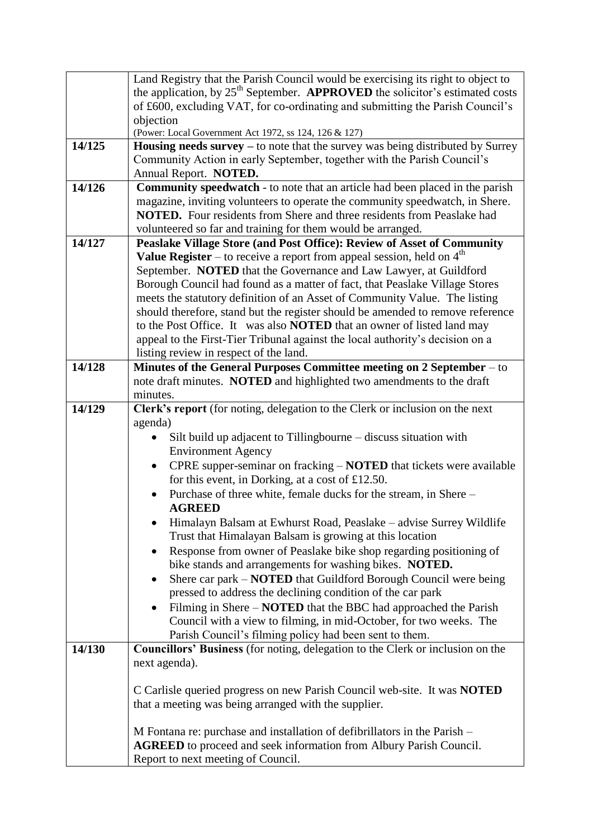|        | Land Registry that the Parish Council would be exercising its right to object to                                                                 |
|--------|--------------------------------------------------------------------------------------------------------------------------------------------------|
|        | the application, by $25th$ September. <b>APPROVED</b> the solicitor's estimated costs                                                            |
|        | of £600, excluding VAT, for co-ordinating and submitting the Parish Council's                                                                    |
|        | objection                                                                                                                                        |
| 14/125 | (Power: Local Government Act 1972, ss 124, 126 & 127)<br><b>Housing needs survey</b> $-$ to note that the survey was being distributed by Surrey |
|        | Community Action in early September, together with the Parish Council's                                                                          |
|        | Annual Report. NOTED.                                                                                                                            |
| 14/126 | <b>Community speedwatch</b> - to note that an article had been placed in the parish                                                              |
|        | magazine, inviting volunteers to operate the community speedwatch, in Shere.                                                                     |
|        | <b>NOTED.</b> Four residents from Shere and three residents from Peaslake had                                                                    |
|        | volunteered so far and training for them would be arranged.                                                                                      |
| 14/127 | Peaslake Village Store (and Post Office): Review of Asset of Community                                                                           |
|        | <b>Value Register</b> – to receive a report from appeal session, held on $4th$                                                                   |
|        | September. NOTED that the Governance and Law Lawyer, at Guildford                                                                                |
|        | Borough Council had found as a matter of fact, that Peaslake Village Stores                                                                      |
|        | meets the statutory definition of an Asset of Community Value. The listing                                                                       |
|        | should therefore, stand but the register should be amended to remove reference                                                                   |
|        | to the Post Office. It was also <b>NOTED</b> that an owner of listed land may                                                                    |
|        | appeal to the First-Tier Tribunal against the local authority's decision on a                                                                    |
|        | listing review in respect of the land.                                                                                                           |
| 14/128 | Minutes of the General Purposes Committee meeting on 2 September – to                                                                            |
|        | note draft minutes. NOTED and highlighted two amendments to the draft                                                                            |
| 14/129 | minutes.<br>Clerk's report (for noting, delegation to the Clerk or inclusion on the next                                                         |
|        | agenda)                                                                                                                                          |
|        | Silt build up adjacent to Tillingbourne – discuss situation with                                                                                 |
|        | <b>Environment Agency</b>                                                                                                                        |
|        | CPRE supper-seminar on fracking - NOTED that tickets were available<br>$\bullet$                                                                 |
|        | for this event, in Dorking, at a cost of $£12.50$ .                                                                                              |
|        | Purchase of three white, female ducks for the stream, in Shere -                                                                                 |
|        | <b>AGREED</b>                                                                                                                                    |
|        | Himalayn Balsam at Ewhurst Road, Peaslake - advise Surrey Wildlife                                                                               |
|        | Trust that Himalayan Balsam is growing at this location                                                                                          |
|        | Response from owner of Peaslake bike shop regarding positioning of<br>$\bullet$                                                                  |
|        | bike stands and arrangements for washing bikes. NOTED.                                                                                           |
|        | Shere car park – <b>NOTED</b> that Guildford Borough Council were being<br>$\bullet$                                                             |
|        | pressed to address the declining condition of the car park                                                                                       |
|        | Filming in Shere – <b>NOTED</b> that the BBC had approached the Parish                                                                           |
|        | Council with a view to filming, in mid-October, for two weeks. The                                                                               |
|        | Parish Council's filming policy had been sent to them.                                                                                           |
| 14/130 | Councillors' Business (for noting, delegation to the Clerk or inclusion on the                                                                   |
|        | next agenda).                                                                                                                                    |
|        | C Carlisle queried progress on new Parish Council web-site. It was <b>NOTED</b>                                                                  |
|        | that a meeting was being arranged with the supplier.                                                                                             |
|        |                                                                                                                                                  |
|        | M Fontana re: purchase and installation of defibrillators in the Parish -                                                                        |
|        | <b>AGREED</b> to proceed and seek information from Albury Parish Council.                                                                        |
|        | Report to next meeting of Council.                                                                                                               |